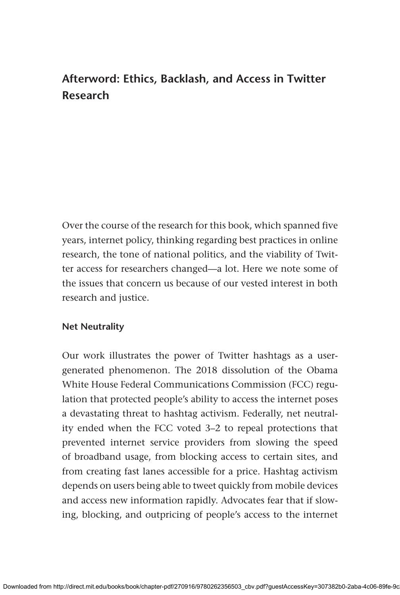# **Afterword: Ethics, Backlash, and Access in Twitter Research**

Over the course of the research for this book, which spanned five years, internet policy, thinking regarding best practices in online research, the tone of national politics, and the viability of Twitter access for researchers changed—a lot. Here we note some of the issues that concern us because of our vested interest in both research and justice.

## **Net Neutrality**

Our work illustrates the power of Twitter hashtags as a usergenerated phenomenon. The 2018 dissolution of the Obama White House Federal Communications Commission (FCC) regulation that protected people's ability to access the internet poses a devastating threat to hashtag activism. Federally, net neutrality ended when the FCC voted 3–2 to repeal protections that prevented internet service providers from slowing the speed of broadband usage, from blocking access to certain sites, and from creating fast lanes accessible for a price. Hashtag activism depends on users being able to tweet quickly from mobile devices and access new information rapidly. Advocates fear that if slowing, blocking, and outpricing of people's access to the internet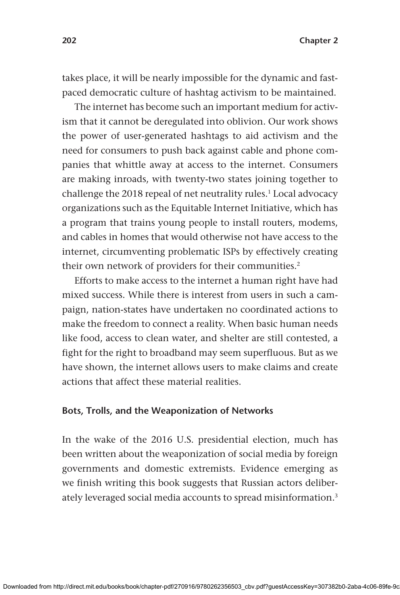takes place, it will be nearly impossible for the dynamic and fastpaced democratic culture of hashtag activism to be maintained.

The internet has become such an important medium for activism that it cannot be deregulated into oblivion. Our work shows the power of user-generated hashtags to aid activism and the need for consumers to push back against cable and phone companies that whittle away at access to the internet. Consumers are making inroads, with twenty-two states joining together to challenge the 2018 repeal of net neutrality rules.<sup>1</sup> Local advocacy organizations such as the Equitable Internet Initiative, which has a program that trains young people to install routers, modems, and cables in homes that would otherwise not have access to the internet, circumventing problematic ISPs by effectively creating their own network of providers for their communities.<sup>2</sup>

Efforts to make access to the internet a human right have had mixed success. While there is interest from users in such a campaign, nation-states have undertaken no coordinated actions to make the freedom to connect a reality. When basic human needs like food, access to clean water, and shelter are still contested, a fight for the right to broadband may seem superfluous. But as we have shown, the internet allows users to make claims and create actions that affect these material realities.

#### **Bots, Trolls, and the Weaponization of Networks**

In the wake of the 2016 U.S. presidential election, much has been written about the weaponization of social media by foreign governments and domestic extremists. Evidence emerging as we finish writing this book suggests that Russian actors deliberately leveraged social media accounts to spread misinformation.3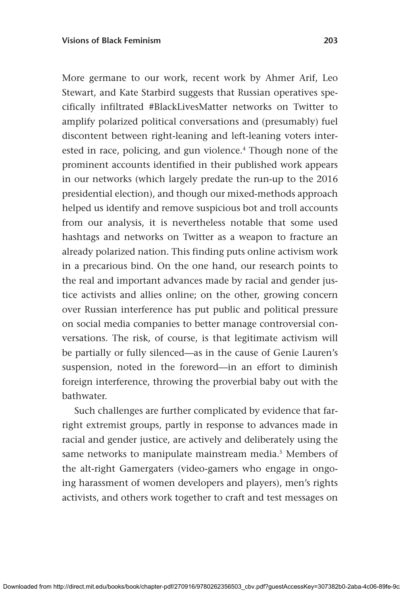More germane to our work, recent work by Ahmer Arif, Leo Stewart, and Kate Starbird suggests that Russian operatives specifically infiltrated #BlackLivesMatter networks on Twitter to amplify polarized political conversations and (presumably) fuel discontent between right-leaning and left-leaning voters interested in race, policing, and gun violence.<sup>4</sup> Though none of the prominent accounts identified in their published work appears in our networks (which largely predate the run-up to the 2016 presidential election), and though our mixed-methods approach helped us identify and remove suspicious bot and troll accounts from our analysis, it is nevertheless notable that some used hashtags and networks on Twitter as a weapon to fracture an already polarized nation. This finding puts online activism work in a precarious bind. On the one hand, our research points to the real and important advances made by racial and gender justice activists and allies online; on the other, growing concern over Russian interference has put public and political pressure on social media companies to better manage controversial conversations. The risk, of course, is that legitimate activism will be partially or fully silenced—as in the cause of Genie Lauren's suspension, noted in the foreword—in an effort to diminish foreign interference, throwing the proverbial baby out with the bathwater.

Such challenges are further complicated by evidence that farright extremist groups, partly in response to advances made in racial and gender justice, are actively and deliberately using the same networks to manipulate mainstream media.<sup>5</sup> Members of the alt-right Gamergaters (video-gamers who engage in ongoing harassment of women developers and players), men's rights activists, and others work together to craft and test messages on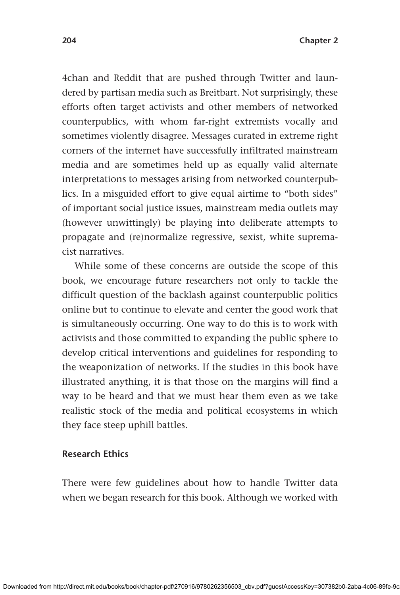4chan and Reddit that are pushed through Twitter and laundered by partisan media such as Breitbart. Not surprisingly, these efforts often target activists and other members of networked counterpublics, with whom far-right extremists vocally and sometimes violently disagree. Messages curated in extreme right corners of the internet have successfully infiltrated mainstream media and are sometimes held up as equally valid alternate interpretations to messages arising from networked counterpublics. In a misguided effort to give equal airtime to "both sides" of important social justice issues, mainstream media outlets may (however unwittingly) be playing into deliberate attempts to propagate and (re)normalize regressive, sexist, white supremacist narratives.

While some of these concerns are outside the scope of this book, we encourage future researchers not only to tackle the difficult question of the backlash against counterpublic politics online but to continue to elevate and center the good work that is simultaneously occurring. One way to do this is to work with activists and those committed to expanding the public sphere to develop critical interventions and guidelines for responding to the weaponization of networks. If the studies in this book have illustrated anything, it is that those on the margins will find a way to be heard and that we must hear them even as we take realistic stock of the media and political ecosystems in which they face steep uphill battles.

### **Research Ethics**

There were few guidelines about how to handle Twitter data when we began research for this book. Although we worked with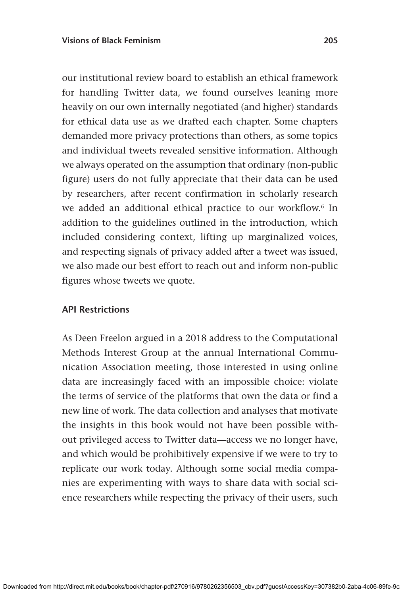our institutional review board to establish an ethical framework for handling Twitter data, we found ourselves leaning more heavily on our own internally negotiated (and higher) standards for ethical data use as we drafted each chapter. Some chapters demanded more privacy protections than others, as some topics and individual tweets revealed sensitive information. Although we always operated on the assumption that ordinary (non-public figure) users do not fully appreciate that their data can be used by researchers, after recent confirmation in scholarly research we added an additional ethical practice to our workflow.<sup>6</sup> In addition to the guidelines outlined in the introduction, which included considering context, lifting up marginalized voices, and respecting signals of privacy added after a tweet was issued, we also made our best effort to reach out and inform non-public figures whose tweets we quote.

## **API Restrictions**

As Deen Freelon argued in a 2018 address to the Computational Methods Interest Group at the annual International Communication Association meeting, those interested in using online data are increasingly faced with an impossible choice: violate the terms of service of the platforms that own the data or find a new line of work. The data collection and analyses that motivate the insights in this book would not have been possible without privileged access to Twitter data—access we no longer have, and which would be prohibitively expensive if we were to try to replicate our work today. Although some social media companies are experimenting with ways to share data with social science researchers while respecting the privacy of their users, such